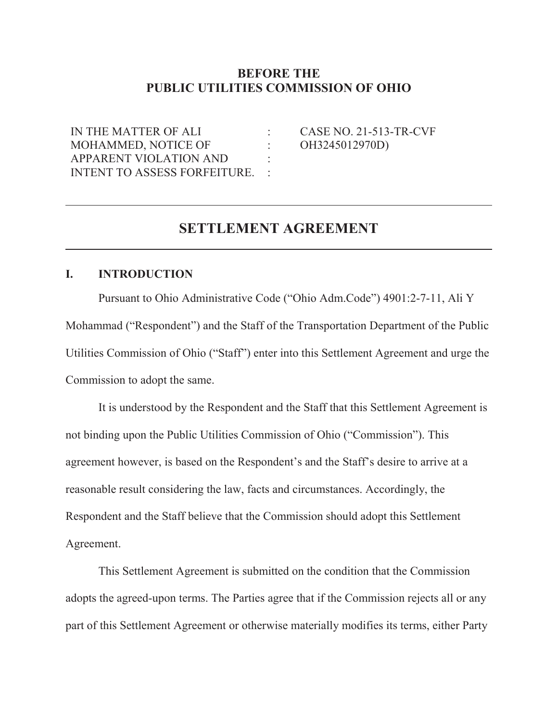# **BEFORE THE PUBLIC UTILITIES COMMISSION OF OHIO**

: : :

IN THE MATTER OF ALI MOHAMMED, NOTICE OF APPARENT VIOLATION AND INTENT TO ASSESS FORFEITURE.  $\cdot$ : CASE NO. 21-513-TR-CVF OH3245012970D)

# **SETTLEMENT AGREEMENT**

#### **I. INTRODUCTION**

l

Pursuant to Ohio Administrative Code ("Ohio Adm.Code") 4901:2-7-11, Ali Y Mohammad ("Respondent") and the Staff of the Transportation Department of the Public Utilities Commission of Ohio ("Staff") enter into this Settlement Agreement and urge the Commission to adopt the same.

It is understood by the Respondent and the Staff that this Settlement Agreement is not binding upon the Public Utilities Commission of Ohio ("Commission"). This agreement however, is based on the Respondent's and the Staff's desire to arrive at a reasonable result considering the law, facts and circumstances. Accordingly, the Respondent and the Staff believe that the Commission should adopt this Settlement Agreement.

This Settlement Agreement is submitted on the condition that the Commission adopts the agreed-upon terms. The Parties agree that if the Commission rejects all or any part of this Settlement Agreement or otherwise materially modifies its terms, either Party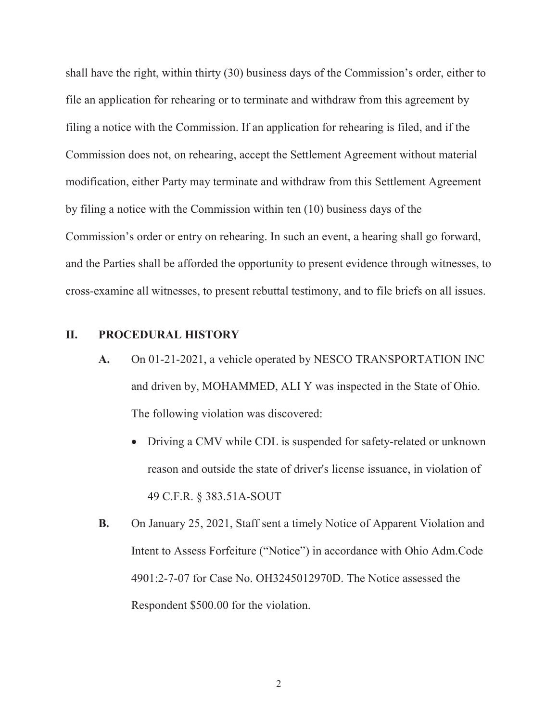shall have the right, within thirty (30) business days of the Commission's order, either to file an application for rehearing or to terminate and withdraw from this agreement by filing a notice with the Commission. If an application for rehearing is filed, and if the Commission does not, on rehearing, accept the Settlement Agreement without material modification, either Party may terminate and withdraw from this Settlement Agreement by filing a notice with the Commission within ten (10) business days of the Commission's order or entry on rehearing. In such an event, a hearing shall go forward, and the Parties shall be afforded the opportunity to present evidence through witnesses, to cross-examine all witnesses, to present rebuttal testimony, and to file briefs on all issues.

## **II. PROCEDURAL HISTORY**

- **A.** On 01-21-2021, a vehicle operated by NESCO TRANSPORTATION INC and driven by, MOHAMMED, ALI Y was inspected in the State of Ohio. The following violation was discovered:
	- Driving a CMV while CDL is suspended for safety-related or unknown reason and outside the state of driver's license issuance, in violation of 49 C.F.R. § 383.51A-SOUT
- **B.** On January 25, 2021, Staff sent a timely Notice of Apparent Violation and Intent to Assess Forfeiture ("Notice") in accordance with Ohio Adm.Code 4901:2-7-07 for Case No. OH3245012970D. The Notice assessed the Respondent \$500.00 for the violation.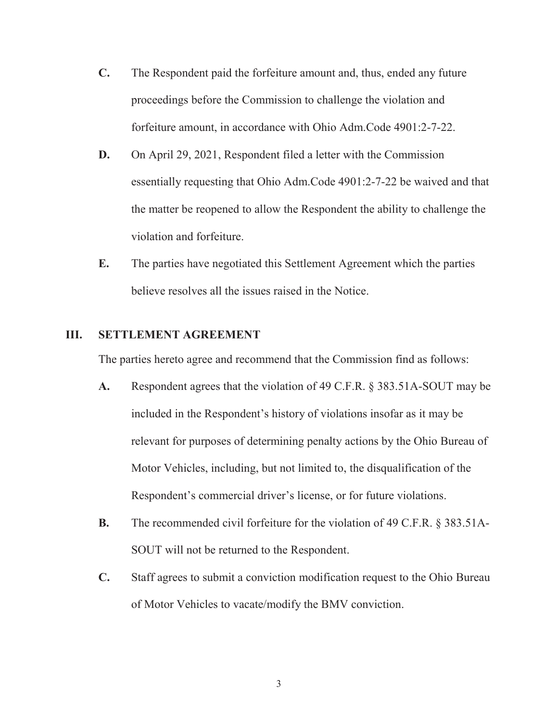- **C.** The Respondent paid the forfeiture amount and, thus, ended any future proceedings before the Commission to challenge the violation and forfeiture amount, in accordance with Ohio Adm.Code 4901:2-7-22.
- **D.** On April 29, 2021, Respondent filed a letter with the Commission essentially requesting that Ohio Adm.Code 4901:2-7-22 be waived and that the matter be reopened to allow the Respondent the ability to challenge the violation and forfeiture.
- **E.** The parties have negotiated this Settlement Agreement which the parties believe resolves all the issues raised in the Notice.

## **III. SETTLEMENT AGREEMENT**

The parties hereto agree and recommend that the Commission find as follows:

- **A.** Respondent agrees that the violation of 49 C.F.R. § 383.51A-SOUT may be included in the Respondent's history of violations insofar as it may be relevant for purposes of determining penalty actions by the Ohio Bureau of Motor Vehicles, including, but not limited to, the disqualification of the Respondent's commercial driver's license, or for future violations.
- **B.** The recommended civil forfeiture for the violation of 49 C.F.R. § 383.51A-SOUT will not be returned to the Respondent.
- **C.** Staff agrees to submit a conviction modification request to the Ohio Bureau of Motor Vehicles to vacate/modify the BMV conviction.

3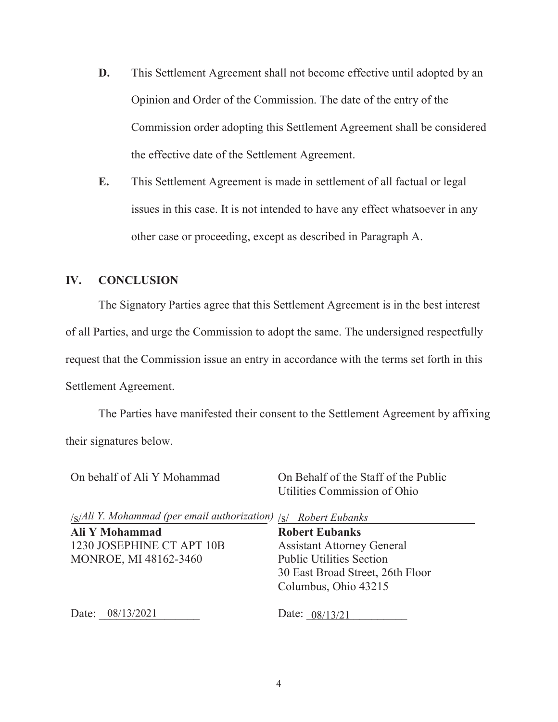- **D.** This Settlement Agreement shall not become effective until adopted by an Opinion and Order of the Commission. The date of the entry of the Commission order adopting this Settlement Agreement shall be considered the effective date of the Settlement Agreement.
- **E.** This Settlement Agreement is made in settlement of all factual or legal issues in this case. It is not intended to have any effect whatsoever in any other case or proceeding, except as described in Paragraph A.

## **IV. CONCLUSION**

The Signatory Parties agree that this Settlement Agreement is in the best interest of all Parties, and urge the Commission to adopt the same. The undersigned respectfully request that the Commission issue an entry in accordance with the terms set forth in this Settlement Agreement.

The Parties have manifested their consent to the Settlement Agreement by affixing their signatures below.

On behalf of Ali Y Mohammad /<sub>S</sub>/Ali Y. Mohammad (per email authorization) /<sub>S</sub>/ Robert Eubanks **Ali Y Mohammad** 1230 JOSEPHINE CT APT 10B MONROE, MI 48162-3460 On Behalf of the Staff of the Public Utilities Commission of Ohio **Robert Eubanks**  Assistant Attorney General Public Utilities Section 30 East Broad Street, 26th Floor Columbus, Ohio 43215

Date: 08/13/2021

08/13/2021 Date: 08/13/21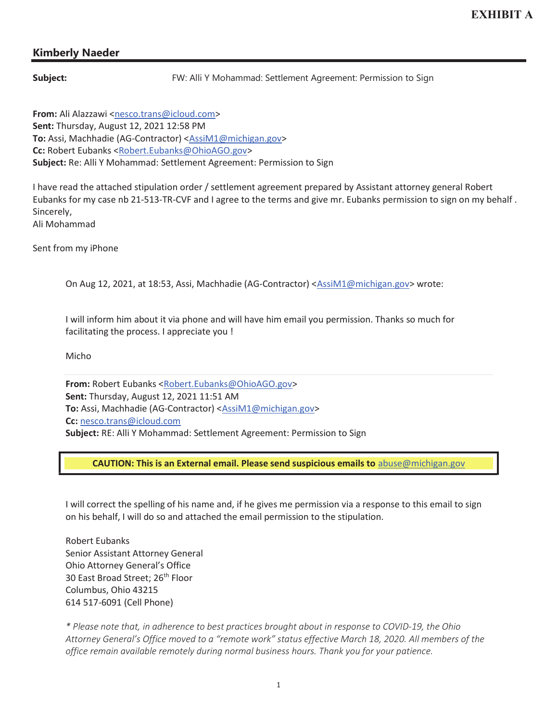# Kimberly Naeder

**Subject:** FW: Alli Y Mohammad: Settlement Agreement: Permission to Sign

From: Ali Alazzawi <nesco.trans@icloud.com> Sent: Thursday, August 12, 2021 12:58 PM To: Assi, Machhadie (AG-Contractor) <AssiM1@michigan.gov> Cc: Robert Eubanks <Robert.Eubanks@OhioAGO.gov> Subject: Re: Alli Y Mohammad: Settlement Agreement: Permission to Sign

I have read the attached stipulation order / settlement agreement prepared by Assistant attorney general Robert Eubanks for my case nb 21-513-TR-CVF and I agree to the terms and give mr. Eubanks permission to sign on my behalf . Sincerely, Ali Mohammad

Sent from my iPhone

On Aug 12, 2021, at 18:53, Assi, Machhadie (AG-Contractor) <AssiM1@michigan.gov> wrote:

I will inform him about it via phone and will have him email you permission. Thanks so much for facilitating the process. I appreciate you !

Micho

From: Robert Eubanks <Robert.Eubanks@OhioAGO.gov> Sent: Thursday, August 12, 2021 11:51 AM To: Assi, Machhadie (AG-Contractor) <AssiM1@michigan.gov> Cc: nesco.trans@icloud.com Subject: RE: Alli Y Mohammad: Settlement Agreement: Permission to Sign

CAUTION: This is an External email. Please send suspicious emails to abuse@michigan.gov

I will correct the spelling of his name and, if he gives me permission via a response to this email to sign on his behalf, I will do so and attached the email permission to the stipulation.

Robert Eubanks Senior Assistant Attorney General Ohio Attorney General's Office 30 East Broad Street; 26<sup>th</sup> Floor Columbus, Ohio 43215 614 517-6091 (Cell Phone)

*\* Please note that, in adherence to best practices brought about in response to COVID-19, the Ohio Attorney General's Office moved to a "remote work" status effective March 18, 2020. All members of the office remain available remotely during normal business hours. Thank you for your patience.*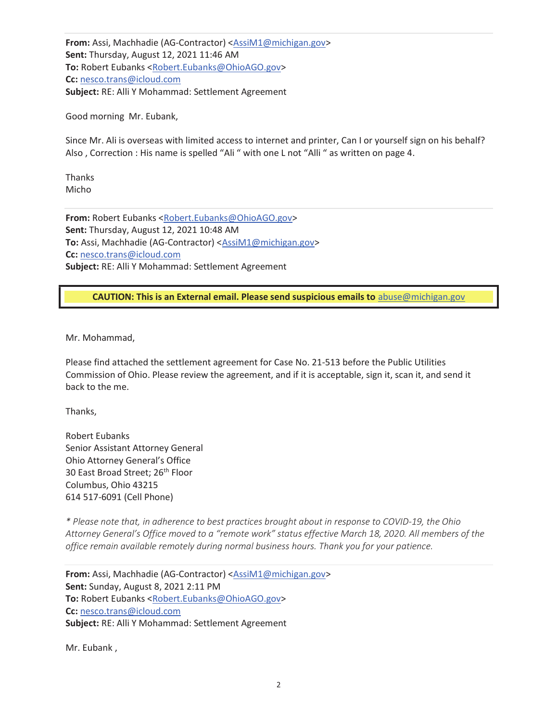From: Assi, Machhadie (AG-Contractor) <AssiM1@michigan.gov> Sent: Thursday, August 12, 2021 11:46 AM To: Robert Eubanks <Robert.Eubanks@OhioAGO.gov> Cc: nesco.trans@icloud.com Subject: RE: Alli Y Mohammad: Settlement Agreement

Good morning Mr. Eubank,

Since Mr. Ali is overseas with limited access to internet and printer, Can I or yourself sign on his behalf? Also , Correction : His name is spelled "Ali " with one L not "Alli " as written on page 4.

Thanks Micho

From: Robert Eubanks <Robert.Eubanks@OhioAGO.gov> Sent: Thursday, August 12, 2021 10:48 AM To: Assi, Machhadie (AG-Contractor) <AssiM1@michigan.gov> Cc: nesco.trans@icloud.com Subject: RE: Alli Y Mohammad: Settlement Agreement

CAUTION: This is an External email. Please send suspicious emails to abuse@michigan.gov

Mr. Mohammad,

Please find attached the settlement agreement for Case No. 21-513 before the Public Utilities Commission of Ohio. Please review the agreement, and if it is acceptable, sign it, scan it, and send it back to the me.

Thanks,

Robert Eubanks Senior Assistant Attorney General Ohio Attorney General's Office 30 East Broad Street; 26<sup>th</sup> Floor Columbus, Ohio 43215 614 517-6091 (Cell Phone)

*\* Please note that, in adherence to best practices brought about in response to COVID-19, the Ohio Attorney General's Office moved to a "remote work" status effective March 18, 2020. All members of the office remain available remotely during normal business hours. Thank you for your patience.*

From: Assi, Machhadie (AG-Contractor) <AssiM1@michigan.gov> Sent: Sunday, August 8, 2021 2:11 PM To: Robert Eubanks <Robert.Eubanks@OhioAGO.gov> Cc: nesco.trans@icloud.com Subject: RE: Alli Y Mohammad: Settlement Agreement

Mr. Eubank ,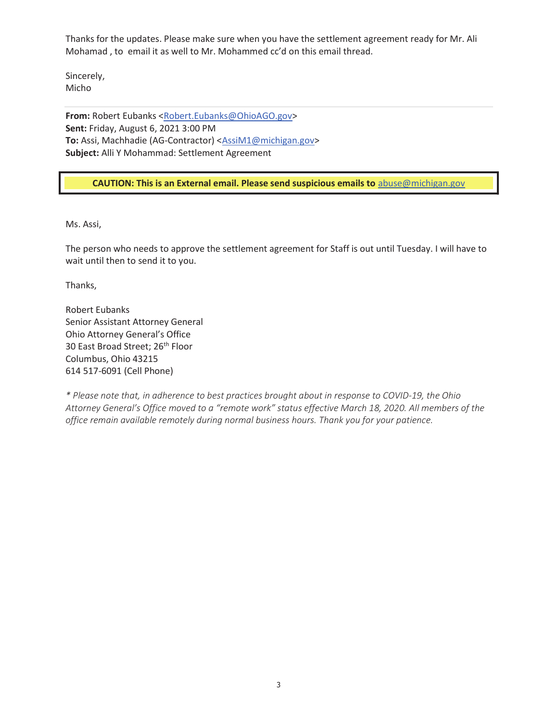Thanks for the updates. Please make sure when you have the settlement agreement ready for Mr. Ali Mohamad , to email it as well to Mr. Mohammed cc'd on this email thread.

Sincerely, Micho

From: Robert Eubanks <Robert.Eubanks@OhioAGO.gov> Sent: Friday, August 6, 2021 3:00 PM To: Assi, Machhadie (AG-Contractor) <AssiM1@michigan.gov> Subject: Alli Y Mohammad: Settlement Agreement

### CAUTION: This is an External email. Please send suspicious emails to abuse@michigan.gov

Ms. Assi,

The person who needs to approve the settlement agreement for Staff is out until Tuesday. I will have to wait until then to send it to you.

Thanks,

Robert Eubanks Senior Assistant Attorney General Ohio Attorney General's Office 30 East Broad Street; 26<sup>th</sup> Floor Columbus, Ohio 43215 614 517-6091 (Cell Phone)

*\* Please note that, in adherence to best practices brought about in response to COVID-19, the Ohio Attorney General's Office moved to a "remote work" status effective March 18, 2020. All members of the office remain available remotely during normal business hours. Thank you for your patience.*